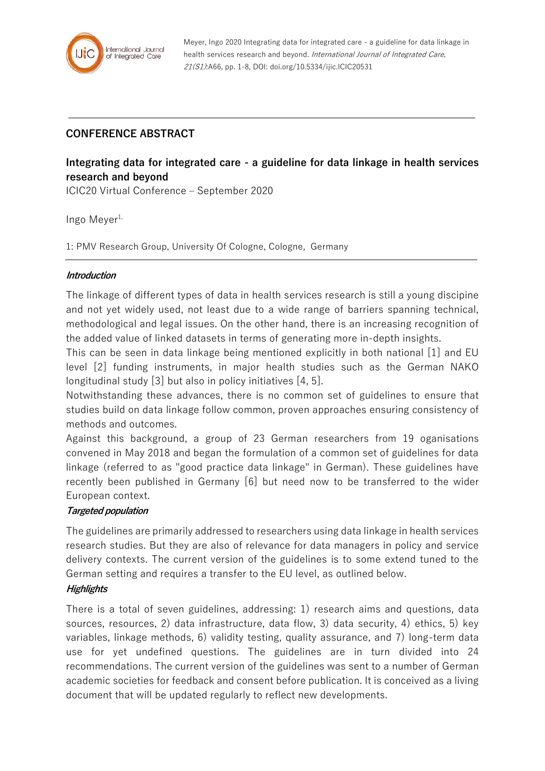

Meyer, Ingo 2020 Integrating data for integrated care - a guideline for data linkage in health services research and beyond. International Journal of Integrated Care, 21(S1):A66, pp. 1-8, DOI: doi.org/10.5334/ijic.ICIC20531

## **CONFERENCE ABSTRACT**

# **Integrating data for integrated care - a guideline for data linkage in health services research and beyond**

ICIC20 Virtual Conference – September 2020

Ingo Meyer $1$ ,

1: PMV Research Group, University Of Cologne, Cologne, Germany

#### **Introduction**

The linkage of different types of data in health services research is still a young discipine and not yet widely used, not least due to a wide range of barriers spanning technical, methodological and legal issues. On the other hand, there is an increasing recognition of the added value of linked datasets in terms of generating more in-depth insights.

This can be seen in data linkage being mentioned explicitly in both national [1] and EU level [2] funding instruments, in major health studies such as the German NAKO longitudinal study [3] but also in policy initiatives [4, 5].

Notwithstanding these advances, there is no common set of guidelines to ensure that studies build on data linkage follow common, proven approaches ensuring consistency of methods and outcomes.

Against this background, a group of 23 German researchers from 19 oganisations convened in May 2018 and began the formulation of a common set of guidelines for data linkage (referred to as "good practice data linkage" in German). These guidelines have recently been published in Germany [6] but need now to be transferred to the wider European context.

#### **Targeted population**

The guidelines are primarily addressed to researchers using data linkage in health services research studies. But they are also of relevance for data managers in policy and service delivery contexts. The current version of the guidelines is to some extend tuned to the German setting and requires a transfer to the EU level, as outlined below.

#### **Highlights**

There is a total of seven guidelines, addressing: 1) research aims and questions, data sources, resources, 2) data infrastructure, data flow, 3) data security, 4) ethics, 5) key variables, linkage methods, 6) validity testing, quality assurance, and 7) long-term data use for yet undefined questions. The guidelines are in turn divided into 24 recommendations. The current version of the guidelines was sent to a number of German academic societies for feedback and consent before publication. It is conceived as a living document that will be updated regularly to reflect new developments.